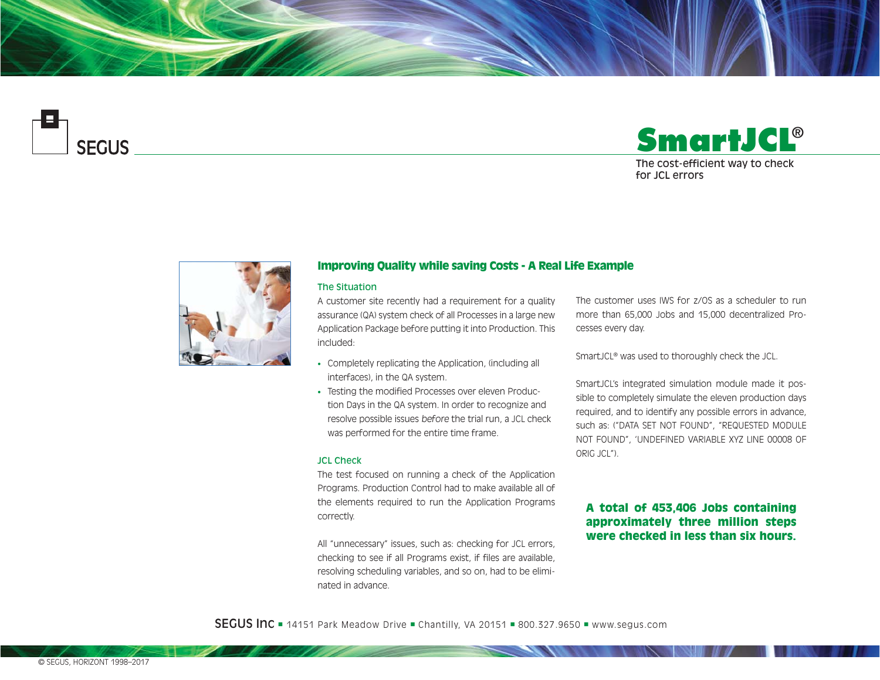

# **SmartJCL** The cost-efficient way to check for JCL errors®



## Improving Quality while saving Costs - A Real Life Example

### The Situation

A customer site recently had a requirement for a quality assurance (QA) system check of all Processes in a large new Application Package before putting it into Production. This included:

- Completely replicating the Application, (including all interfaces), in the QA system.
- Testing the modified Processes over eleven Production Days in the QA system. In order to recognize and resolve possible issues before the trial run, a JCL check was performed for the entire time frame.

#### JCL Check

The test focused on running a check of the Application Programs. Production Control had to make available all of the elements required to run the Application Programs correctly.

All "unnecessary" issues, such as: checking for JCL errors, checking to see if all Programs exist, if files are available, resolving scheduling variables, and so on, had to be eliminated in advance.

The customer uses IWS for z/OS as a scheduler to run more than 65,000 Jobs and 15,000 decentralized Processes every day.

SmartJCL® was used to thoroughly check the JCL.

SmartJCL's integrated simulation module made it possible to completely simulate the eleven production days required, and to identify any possible errors in advance, such as: ("DATA SET NOT FOUND", "REQUESTED MODULE NOT FOUND", 'UNDEFINED VARIABLE XYZ LINE 00008 OF ORIG JCL").

# A total of 453,406 Jobs containing approximately three million steps were checked in less than six hours.

**SEGUS Inc**  $= 14151$  Park Meadow Drive  $=$  Chantilly, VA 20151  $= 800.327.9650$   $=$  www.segus.com